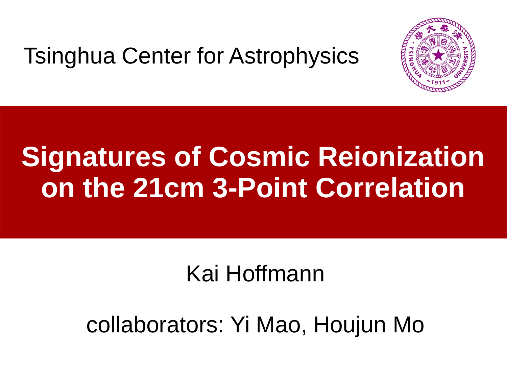#### Tsinghua Center for Astrophysics



# **Signatures of Cosmic Reionization on the 21cm 3-Point Correlation**

#### Kai Hoffmann

#### collaborators: Yi Mao, Houjun Mo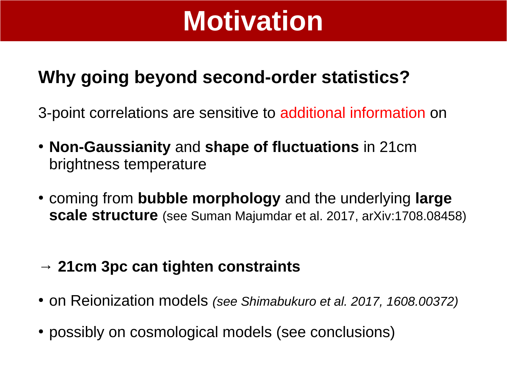# **Motivation**

#### **Why going beyond second-order statistics?**

3-point correlations are sensitive to additional information on

- **Non-Gaussianity** and **shape of fluctuations** in 21cm brightness temperature
- coming from **bubble morphology** and the underlying **large scale structure** (see Suman Majumdar et al. 2017, arXiv:1708.08458)
- **→ 21cm 3pc can tighten constraints**
- on Reionization models *(see Shimabukuro et al. 2017, 1608.00372)*
- possibly on cosmological models (see conclusions)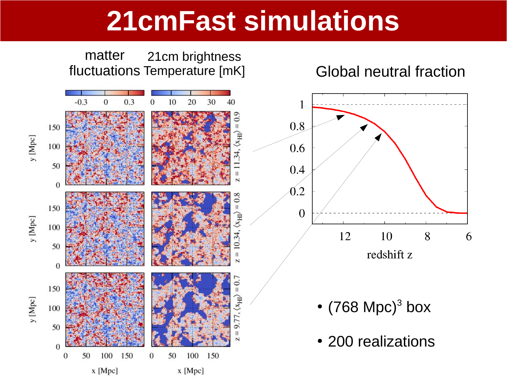#### **21cmFast simulations**

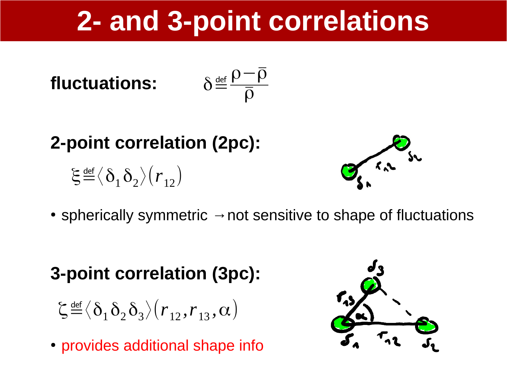# **2- and 3-point correlations**

**fluctuations:** 
$$
\delta^{\frac{\text{def}}{}} \frac{\rho - \overline{\rho}}{\overline{\rho}}
$$

**2-point correlation (2pc):**

 $\boldsymbol{\xi}$  <u>def</u>  $\langle \boldsymbol{\delta}_1 \boldsymbol{\delta}_2 \rangle(r_{12})$ 



• spherically symmetric  $\rightarrow$  not sensitive to shape of fluctuations

#### **3-point correlation (3pc):**

- $\zeta$  <u>def</u>  $\langle\delta^{}_{1}\delta^{}_{2}\delta^{}_{3}\rangle(r^{}_{12},r^{}_{13},\alpha)$
- provides additional shape info

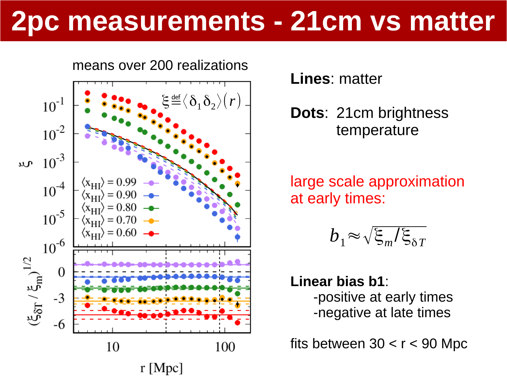#### **2pc measurements - 21cm vs matter**



**Lines**: matter

**Dots**: 21cm brightness temperature

large scale approximation at early times:

$$
b_1 \approx \sqrt{\xi_m/\xi_{\delta T}}
$$

**Linear bias b1**: -positive at early times -negative at late times

fits between  $30 < r < 90$  Mpc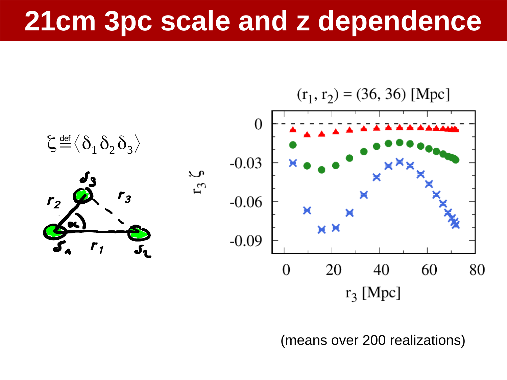#### **21cm 3pc scale and z dependence**



(means over 200 realizations)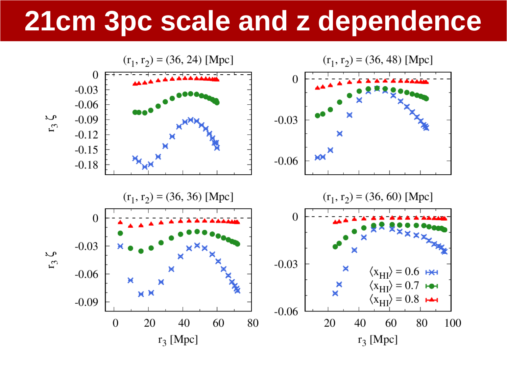#### 21cm 3pc scale and z dependence

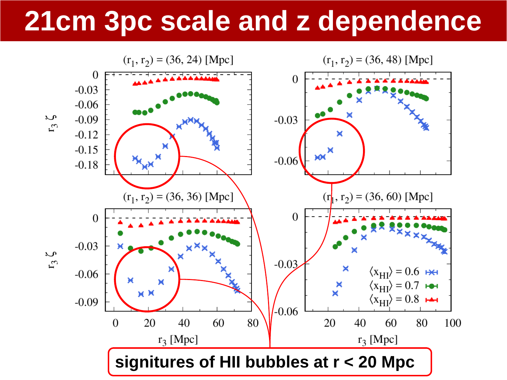### **21cm 3pc scale and z dependence**

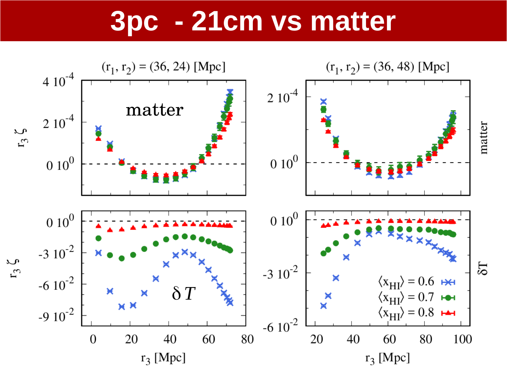#### - 21cm vs matter **3pc**

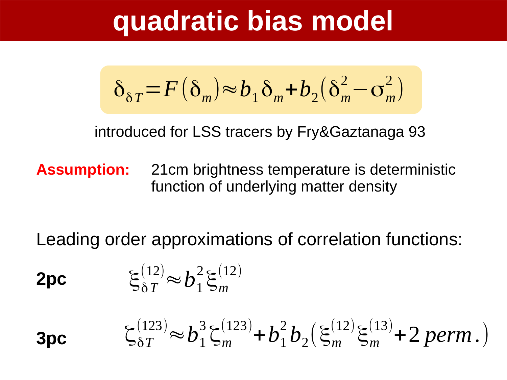#### **quadratic bias model**

$$
\delta_{\delta T} = F(\delta_m) \approx b_1 \delta_m + b_2 (\delta_m^2 - \sigma_m^2)
$$

introduced for LSS tracers by Fry&Gaztanaga 93

**Assumption:** 21cm brightness temperature is deterministic function of underlying matter density

Leading order approximations of correlation functions:

$$
2pc \t\t \t\t \xi_{\delta T}^{(12)} \approx b_1^2 \xi_m^{(12)}
$$

 $\zeta_{\delta T}^{(123)} \approx b_1^3 \zeta_m^{(123)} + b_1^2 b_2 (\xi_m^{(12)} \xi_m^{(13)} + 2 \text{ perm.})$ **3pc**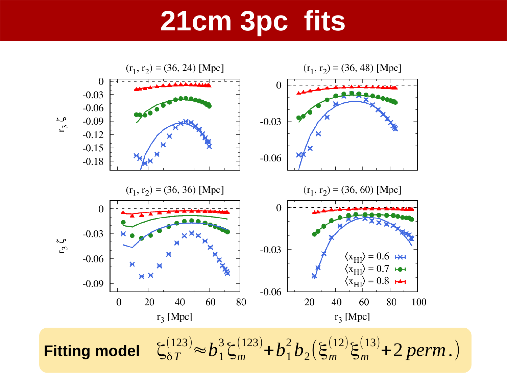### **21cm 3pc fits**

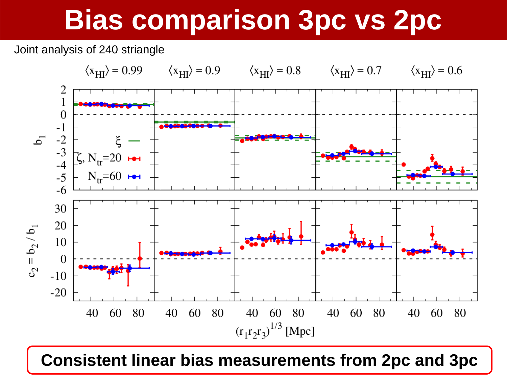# **Bias comparison 3pc vs 2pc**

Joint analysis of 240 striangle



**Consistent linear bias measurements from 2pc and 3pc**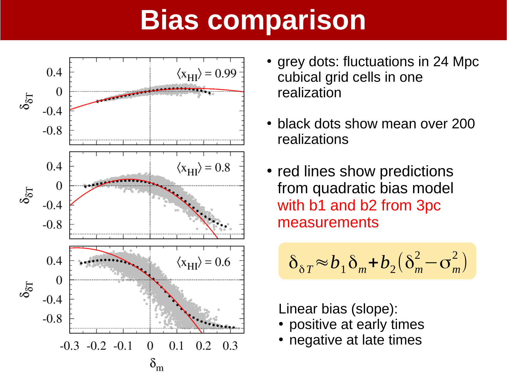## **Bias comparison**



- grey dots: fluctuations in 24 Mpc cubical grid cells in one realization
- black dots show mean over 200 realizations
- red lines show predictions from quadratic bias model with b1 and b2 from 3pc measurements

$$
\delta_{\delta T} \approx b_1 \delta_m + b_2 (\delta_m^2 - \sigma_m^2)
$$

Linear bias (slope):

- positive at early times
- negative at late times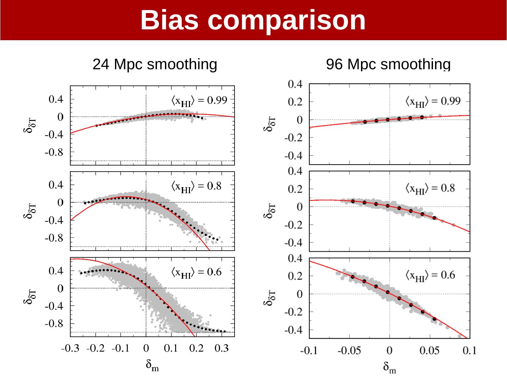#### **Bias comparison**

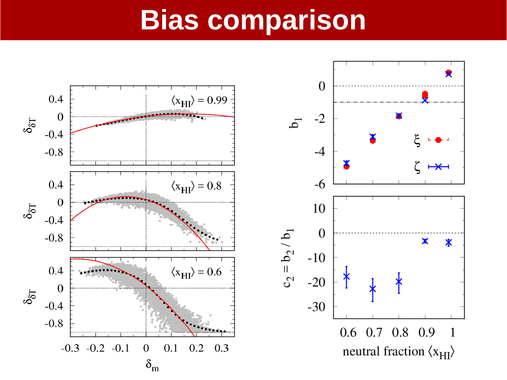#### **Bias comparison**



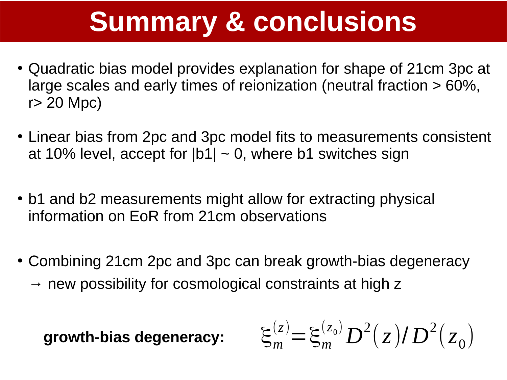## **Summary & conclusions**

- Quadratic bias model provides explanation for shape of 21cm 3pc at large scales and early times of reionization (neutral fraction > 60%, r> 20 Mpc)
- Linear bias from 2pc and 3pc model fits to measurements consistent at 10% level, accept for  $|b1| \sim 0$ , where b1 switches sign
- b1 and b2 measurements might allow for extracting physical information on EoR from 21cm observations
- Combining 21cm 2pc and 3pc can break growth-bias degeneracy
	- $\rightarrow$  new possibility for cosmological constraints at high z

$$
\text{growth-bias degeneracy:} \qquad \xi_m^{(z)} = \xi_m^{(z_0)} D^2(z) / D^2(z_0)
$$